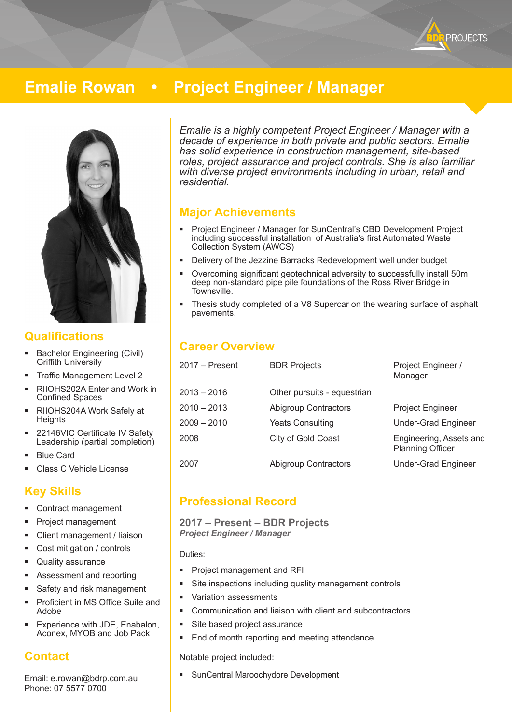

# **Emalie Rowan • Project Engineer / Manager**



### **Qualifications**

- **Bachelor Engineering (Civil)** Griffith University
- Traffic Management Level 2
- RIIOHS202A Enter and Work in Confined Spaces
- RIIOHS204A Work Safely at **Heights**
- 22146VIC Certificate IV Safety Leadership (partial completion)
- Blue Card
- Class C Vehicle License

### **Key Skills**

- Contract management
- Project management
- Client management / liaison
- Cost mitigation / controls
- Quality assurance
- Assessment and reporting
- Safety and risk management
- Proficient in MS Office Suite and Adobe
- Experience with JDE, Enabalon, Aconex, MYOB and Job Pack

# **Contact**

Email: e.rowan@bdrp.com.au Phone: 07 5577 0700

*Emalie is a highly competent Project Engineer / Manager with a decade of experience in both private and public sectors. Emalie has solid experience in construction management, site-based roles, project assurance and project controls. She is also familiar with diverse project environments including in urban, retail and residential.*

### **Major Achievements**

- Project Engineer / Manager for SunCentral's CBD Development Project including successful installation of Australia's first Automated Waste Collection System (AWCS)
- Delivery of the Jezzine Barracks Redevelopment well under budget
- Overcoming significant geotechnical adversity to successfully install 50m deep non-standard pipe pile foundations of the Ross River Bridge in Townsville.
- Thesis study completed of a V8 Supercar on the wearing surface of asphalt pavements.

# **Career Overview**

| 2017 - Present | <b>BDR Projects</b>         | Project Engineer /<br>Manager                      |
|----------------|-----------------------------|----------------------------------------------------|
| 2013 – 2016    | Other pursuits - equestrian |                                                    |
| 2010 - 2013    | <b>Abigroup Contractors</b> | Project Engineer                                   |
| 2009 - 2010    | <b>Yeats Consulting</b>     | <b>Under-Grad Engineer</b>                         |
| 2008           | City of Gold Coast          | Engineering, Assets and<br><b>Planning Officer</b> |
| 2007           | <b>Abigroup Contractors</b> | <b>Under-Grad Engineer</b>                         |
|                |                             |                                                    |

# **Professional Record**

#### **2017 – Present – BDR Projects**  *Project Engineer / Manager*

Duties:

- Project management and RFI
- Site inspections including quality management controls
- Variation assessments
- Communication and liaison with client and subcontractors
- **Site based project assurance**
- End of month reporting and meeting attendance

Notable project included:

SunCentral Maroochydore Development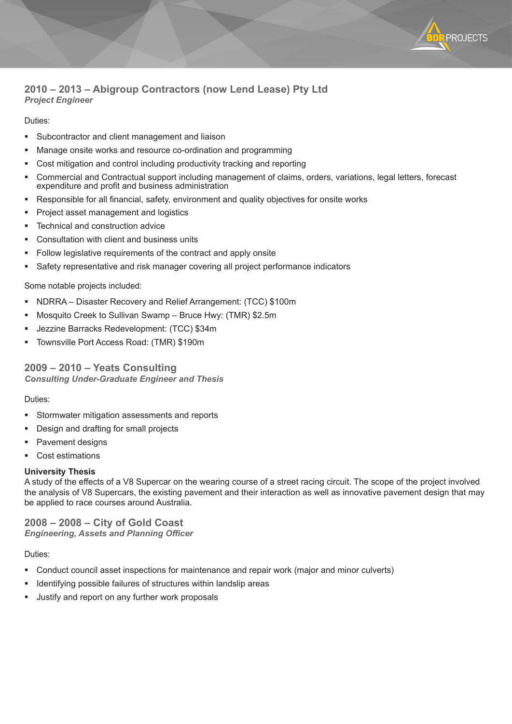#### **2010 – 2013 – Abigroup Contractors (now Lend Lease) Pty Ltd** *Project Engineer*

#### Duties:

- Subcontractor and client management and liaison
- **Manage onsite works and resource co-ordination and programming**
- Cost mitigation and control including productivity tracking and reporting
- Commercial and Contractual support including management of claims, orders, variations, legal letters, forecast expenditure and profit and business administration

**PROJECTS** 

- Responsible for all financial, safety, environment and quality objectives for onsite works
- Project asset management and logistics
- Technical and construction advice
- Consultation with client and business units
- **Follow legislative requirements of the contract and apply onsite**
- Safety representative and risk manager covering all project performance indicators

#### Some notable projects included:

- NDRRA Disaster Recovery and Relief Arrangement: (TCC) \$100m
- Mosquito Creek to Sullivan Swamp Bruce Hwy: (TMR) \$2.5m
- Jezzine Barracks Redevelopment: (TCC) \$34m
- Townsville Port Access Road: (TMR) \$190m

**2009 – 2010 – Yeats Consulting** *Consulting Under-Graduate Engineer and Thesis*

#### Duties:

- Stormwater mitigation assessments and reports
- Design and drafting for small projects
- Pavement designs
- Cost estimations

#### **University Thesis**

A study of the effects of a V8 Supercar on the wearing course of a street racing circuit. The scope of the project involved the analysis of V8 Supercars, the existing pavement and their interaction as well as innovative pavement design that may be applied to race courses around Australia.

**2008 – 2008 – City of Gold Coast** *Engineering, Assets and Planning Officer*

#### Duties:

- Conduct council asset inspections for maintenance and repair work (major and minor culverts)
- **If Identifying possible failures of structures within landslip areas**
- Justify and report on any further work proposals